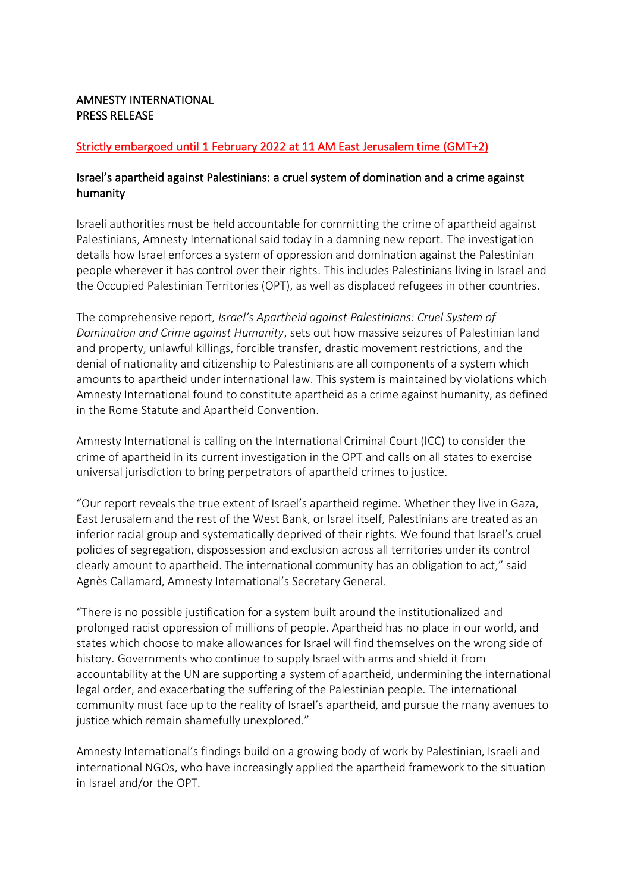## AMNESTY INTERNATIONAL PRESS RELEASE

# Strictly embargoed until 1 February 2022 at 11 AM East Jerusalem time (GMT+2)

# Israel's apartheid against Palestinians: a cruel system of domination and a crime against humanity

Israeli authorities must be held accountable for committing the crime of apartheid against Palestinians, Amnesty International said today in a damning new report. The investigation details how Israel enforces a system of oppression and domination against the Palestinian people wherever it has control over their rights. This includes Palestinians living in Israel and the Occupied Palestinian Territories (OPT), as well as displaced refugees in other countries.

The comprehensive report*, Israel's Apartheid against Palestinians: Cruel System of Domination and Crime against Humanity*, sets out how massive seizures of Palestinian land and property, unlawful killings, forcible transfer, drastic movement restrictions, and the denial of nationality and citizenship to Palestinians are all components of a system which amounts to apartheid under international law. This system is maintained by violations which Amnesty International found to constitute apartheid as a crime against humanity, as defined in the Rome Statute and Apartheid Convention.

Amnesty International is calling on the International Criminal Court (ICC) to consider the crime of apartheid in its current investigation in the OPT and calls on all states to exercise universal jurisdiction to bring perpetrators of apartheid crimes to justice.

"Our report reveals the true extent of Israel's apartheid regime. Whether they live in Gaza, East Jerusalem and the rest of the West Bank, or Israel itself, Palestinians are treated as an inferior racial group and systematically deprived of their rights. We found that Israel's cruel policies of segregation, dispossession and exclusion across all territories under its control clearly amount to apartheid. The international community has an obligation to act," said Agnès Callamard, Amnesty International's Secretary General.

"There is no possible justification for a system built around the institutionalized and prolonged racist oppression of millions of people. Apartheid has no place in our world, and states which choose to make allowances for Israel will find themselves on the wrong side of history. Governments who continue to supply Israel with arms and shield it from accountability at the UN are supporting a system of apartheid, undermining the international legal order, and exacerbating the suffering of the Palestinian people. The international community must face up to the reality of Israel's apartheid, and pursue the many avenues to justice which remain shamefully unexplored."

Amnesty International's findings build on a growing body of work by Palestinian, Israeli and international NGOs, who have increasingly applied the apartheid framework to the situation in Israel and/or the OPT.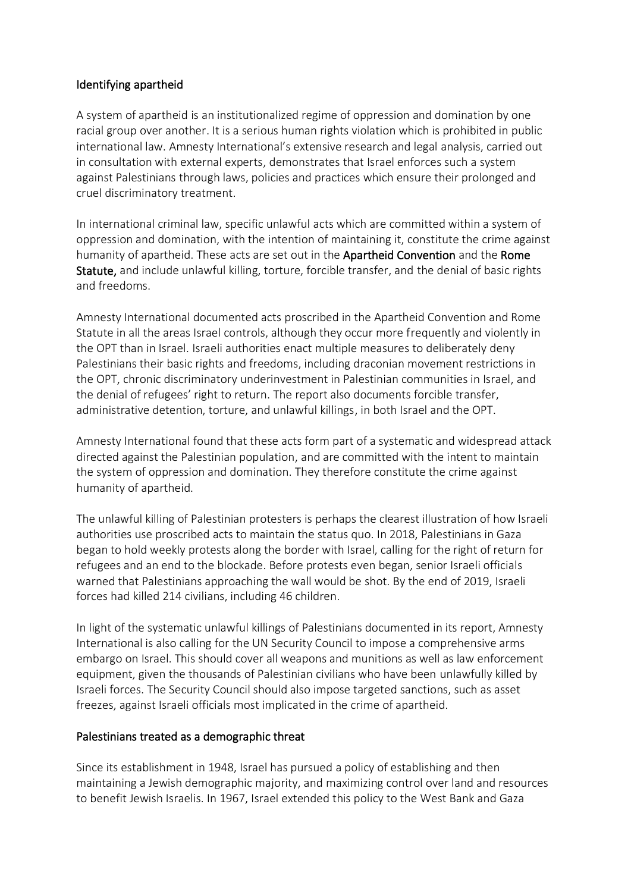## Identifying apartheid

A system of apartheid is an institutionalized regime of oppression and domination by one racial group over another. It is a serious human rights violation which is prohibited in public international law. Amnesty International's extensive research and legal analysis, carried out in consultation with external experts, demonstrates that Israel enforces such a system against Palestinians through laws, policies and practices which ensure their prolonged and cruel discriminatory treatment.

In international criminal law, specific unlawful acts which are committed within a system of oppression and domination, with the intention of maintaining it, constitute the crime against humanity of apartheid. These acts are set out in the [Apartheid Convention](https://www.un.org/en/genocideprevention/documents/atrocity-crimes/Doc.10_International%20Convention%20on%20the%20Suppression%20and%20Punishment%20of%20the%20Crime%20of%20Apartheid.pdf) and the Rome Statute, and include unlawful killing, torture, forcible transfer, and the denial of basic rights and freedoms.

Amnesty International documented acts proscribed in the Apartheid Convention and Rome Statute in all the areas Israel controls, although they occur more frequently and violently in the OPT than in Israel. Israeli authorities enact multiple measures to deliberately deny Palestinians their basic rights and freedoms, including draconian movement restrictions in the OPT, chronic discriminatory underinvestment in Palestinian communities in Israel, and the denial of refugees' right to return. The report also documents forcible transfer, administrative detention, torture, and unlawful killings, in both Israel and the OPT.

Amnesty International found that these acts form part of a systematic and widespread attack directed against the Palestinian population, and are committed with the intent to maintain the system of oppression and domination. They therefore constitute the crime against humanity of apartheid.

The unlawful killing of Palestinian protesters is perhaps the clearest illustration of how Israeli authorities use proscribed acts to maintain the status quo. In 2018, Palestinians in Gaza began to hold weekly protests along the border with Israel, calling for the right of return for refugees and an end to the blockade. Before protests even began, senior Israeli officials warned that Palestinians approaching the wall would be shot. By the end of 2019, Israeli forces had killed 214 civilians, including 46 children.

In light of the systematic unlawful killings of Palestinians documented in its report, Amnesty International is also calling for the UN Security Council to impose a comprehensive arms embargo on Israel. This should cover all weapons and munitions as well as law enforcement equipment, given the thousands of Palestinian civilians who have been unlawfully killed by Israeli forces. The Security Council should also impose targeted sanctions, such as asset freezes, against Israeli officials most implicated in the crime of apartheid.

#### Palestinians treated as a demographic threat

Since its establishment in 1948, Israel has pursued a policy of establishing and then maintaining a Jewish demographic majority, and maximizing control over land and resources to benefit Jewish Israelis. In 1967, Israel extended this policy to the West Bank and Gaza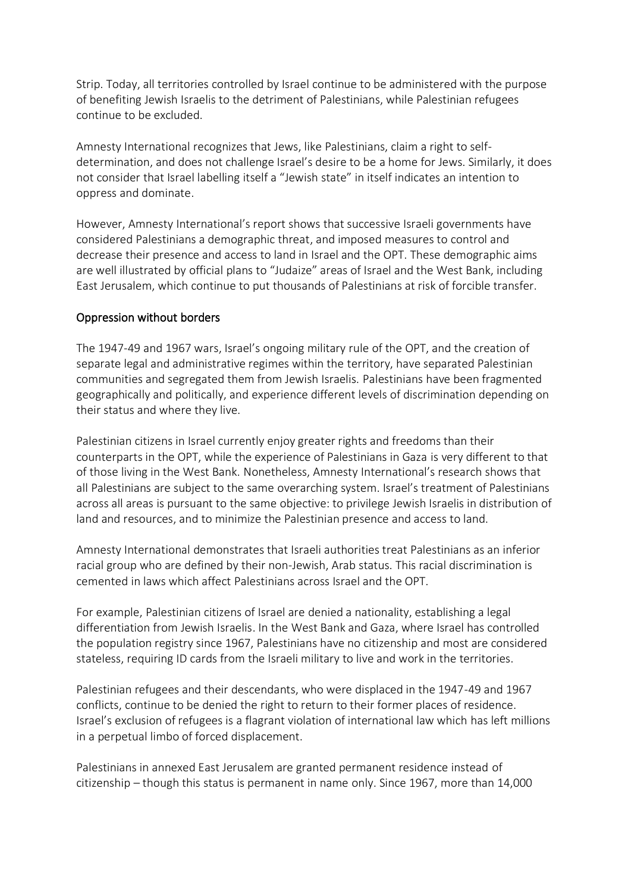Strip. Today, all territories controlled by Israel continue to be administered with the purpose of benefiting Jewish Israelis to the detriment of Palestinians, while Palestinian refugees continue to be excluded.

Amnesty International recognizes that Jews, like Palestinians, claim a right to selfdetermination, and does not challenge Israel's desire to be a home for Jews. Similarly, it does not consider that Israel labelling itself a "Jewish state" in itself indicates an intention to oppress and dominate.

However, Amnesty International's report shows that successive Israeli governments have considered Palestinians a demographic threat, and imposed measures to control and decrease their presence and access to land in Israel and the OPT. These demographic aims are well illustrated by official plans to "Judaize" areas of Israel and the West Bank, including East Jerusalem, which continue to put thousands of Palestinians at risk of forcible transfer.

## Oppression without borders

The 1947-49 and 1967 wars, Israel's ongoing military rule of the OPT, and the creation of separate legal and administrative regimes within the territory, have separated Palestinian communities and segregated them from Jewish Israelis. Palestinians have been fragmented geographically and politically, and experience different levels of discrimination depending on their status and where they live.

Palestinian citizens in Israel currently enjoy greater rights and freedoms than their counterparts in the OPT, while the experience of Palestinians in Gaza is very different to that of those living in the West Bank. Nonetheless, Amnesty International's research shows that all Palestinians are subject to the same overarching system. Israel's treatment of Palestinians across all areas is pursuant to the same objective: to privilege Jewish Israelis in distribution of land and resources, and to minimize the Palestinian presence and access to land.

Amnesty International demonstrates that Israeli authorities treat Palestinians as an inferior racial group who are defined by their non-Jewish, Arab status. This racial discrimination is cemented in laws which affect Palestinians across Israel and the OPT.

For example, Palestinian citizens of Israel are denied a nationality, establishing a legal differentiation from Jewish Israelis. In the West Bank and Gaza, where Israel has controlled the population registry since 1967, Palestinians have no citizenship and most are considered stateless, requiring ID cards from the Israeli military to live and work in the territories.

Palestinian refugees and their descendants, who were displaced in the 1947-49 and 1967 conflicts, continue to be denied the right to return to their former places of residence. Israel's exclusion of refugees is a flagrant violation of international law which has left millions in a perpetual limbo of forced displacement.

Palestinians in annexed East Jerusalem are granted permanent residence instead of citizenship – though this status is permanent in name only. Since 1967, more than 14,000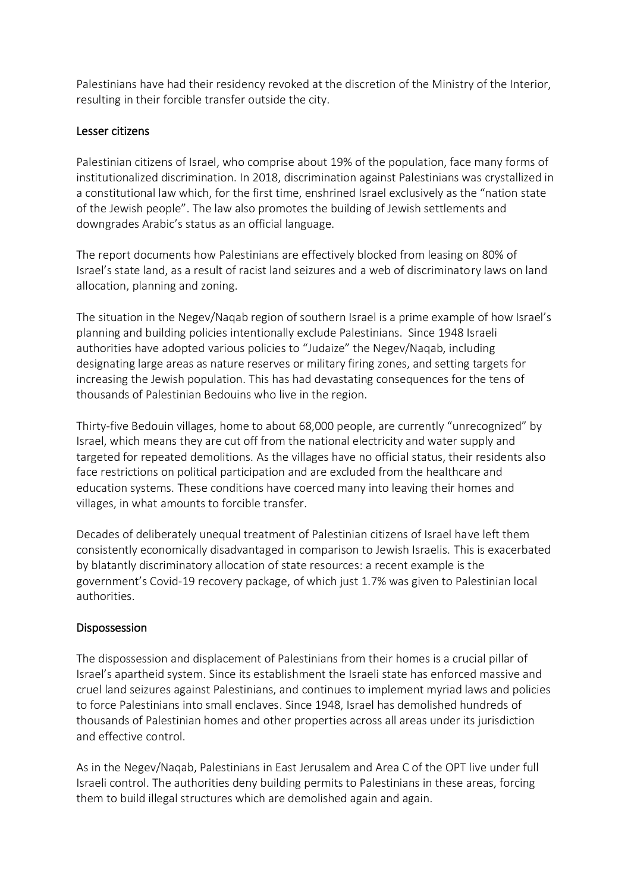Palestinians have had their residency revoked at the discretion of the Ministry of the Interior, resulting in their forcible transfer outside the city.

#### Lesser citizens

Palestinian citizens of Israel, who comprise about 19% of the population, face many forms of institutionalized discrimination. In 2018, discrimination against Palestinians was crystallized in a constitutional law which, for the first time, enshrined Israel exclusively as the "nation state of the Jewish people". The law also promotes the building of Jewish settlements and downgrades Arabic's status as an official language.

The report documents how Palestinians are effectively blocked from leasing on 80% of Israel's state land, as a result of racist land seizures and a web of discriminatory laws on land allocation, planning and zoning.

The situation in the Negev/Naqab region of southern Israel is a prime example of how Israel's planning and building policies intentionally exclude Palestinians. Since 1948 Israeli authorities have adopted various policies to "Judaize" the Negev/Naqab, including designating large areas as nature reserves or military firing zones, and setting targets for increasing the Jewish population. This has had devastating consequences for the tens of thousands of Palestinian Bedouins who live in the region.

Thirty-five Bedouin villages, home to about 68,000 people, are currently "unrecognized" by Israel, which means they are cut off from the national electricity and water supply and targeted for repeated demolitions. As the villages have no official status, their residents also face restrictions on political participation and are excluded from the healthcare and education systems. These conditions have coerced many into leaving their homes and villages, in what amounts to forcible transfer.

Decades of deliberately unequal treatment of Palestinian citizens of Israel have left them consistently economically disadvantaged in comparison to Jewish Israelis. This is exacerbated by blatantly discriminatory allocation of state resources: a recent example is the government's Covid-19 recovery package, of which just 1.7% was given to Palestinian local authorities.

## Dispossession

The dispossession and displacement of Palestinians from their homes is a crucial pillar of Israel's apartheid system. Since its establishment the Israeli state has enforced massive and cruel land seizures against Palestinians, and continues to implement myriad laws and policies to force Palestinians into small enclaves. Since 1948, Israel has demolished hundreds of thousands of Palestinian homes and other properties across all areas under its jurisdiction and effective control.

As in the Negev/Naqab, Palestinians in East Jerusalem and Area C of the OPT live under full Israeli control. The authorities deny building permits to Palestinians in these areas, forcing them to build illegal structures which are demolished again and again.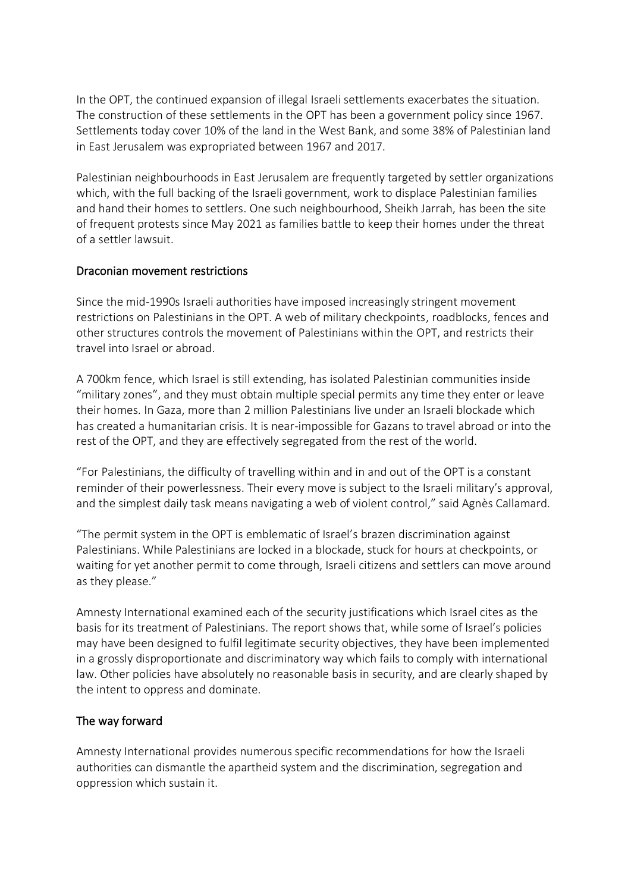In the OPT, the continued expansion of illegal Israeli settlements exacerbates the situation. The construction of these settlements in the OPT has been a government policy since 1967. Settlements today cover 10% of the land in the West Bank, and some 38% of Palestinian land in East Jerusalem was expropriated between 1967 and 2017.

Palestinian neighbourhoods in East Jerusalem are frequently targeted by settler organizations which, with the full backing of the Israeli government, work to displace Palestinian families and hand their homes to settlers. One such neighbourhood, Sheikh Jarrah, has been the site of frequent protests since May 2021 as families battle to keep their homes under the threat of a settler lawsuit.

#### Draconian movement restrictions

Since the mid-1990s Israeli authorities have imposed increasingly stringent movement restrictions on Palestinians in the OPT. A web of military checkpoints, roadblocks, fences and other structures controls the movement of Palestinians within the OPT, and restricts their travel into Israel or abroad.

A 700km fence, which Israel is still extending, has isolated Palestinian communities inside "military zones", and they must obtain multiple special permits any time they enter or leave their homes. In Gaza, more than 2 million Palestinians live under an Israeli blockade which has created a humanitarian crisis. It is near-impossible for Gazans to travel abroad or into the rest of the OPT, and they are effectively segregated from the rest of the world.

"For Palestinians, the difficulty of travelling within and in and out of the OPT is a constant reminder of their powerlessness. Their every move is subject to the Israeli military's approval, and the simplest daily task means navigating a web of violent control," said Agnès Callamard.

"The permit system in the OPT is emblematic of Israel's brazen discrimination against Palestinians. While Palestinians are locked in a blockade, stuck for hours at checkpoints, or waiting for yet another permit to come through, Israeli citizens and settlers can move around as they please."

Amnesty International examined each of the security justifications which Israel cites as the basis for its treatment of Palestinians. The report shows that, while some of Israel's policies may have been designed to fulfil legitimate security objectives, they have been implemented in a grossly disproportionate and discriminatory way which fails to comply with international law. Other policies have absolutely no reasonable basis in security, and are clearly shaped by the intent to oppress and dominate.

#### The way forward

Amnesty International provides numerous specific recommendations for how the Israeli authorities can dismantle the apartheid system and the discrimination, segregation and oppression which sustain it.